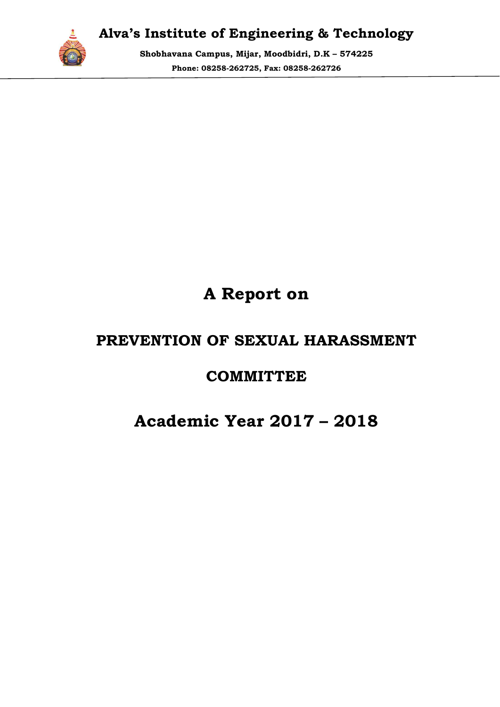

Shobhavana Campus, Mijar, Moodbidri, D.K – 574225 Phone: 08258 08258-262725, Fax: 08258-262726

# A Report on

# PREVENTION OF SEXUAL HARASSMENT PREVENTION COMMITTEE

## Academic Year 2017 2017 – 2018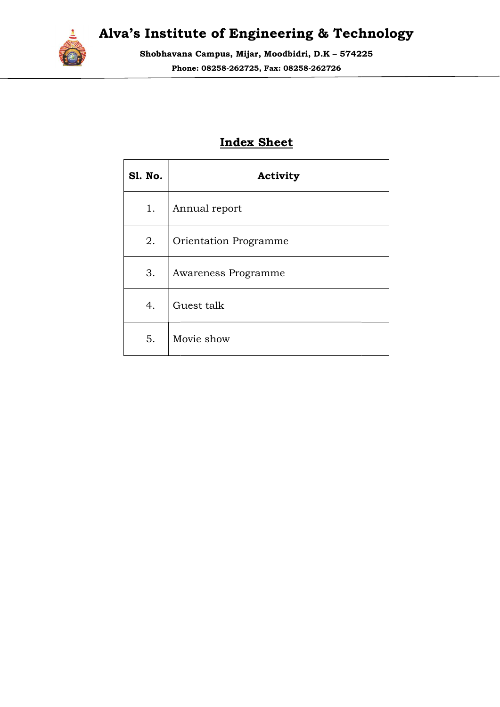

Shobhavana Campus, Mijar, Moodbidri, D.K – 574225 Phone: 08258 08258-262725, Fax: 08258-262726

### Index Sheet

| <b>S1. No.</b> | Activity                     |
|----------------|------------------------------|
| 1.             | Annual report                |
| 2.             | <b>Orientation Programme</b> |
| 3.             | Awareness Programme          |
| 4.             | Guest talk                   |
| 5.             | Movie show                   |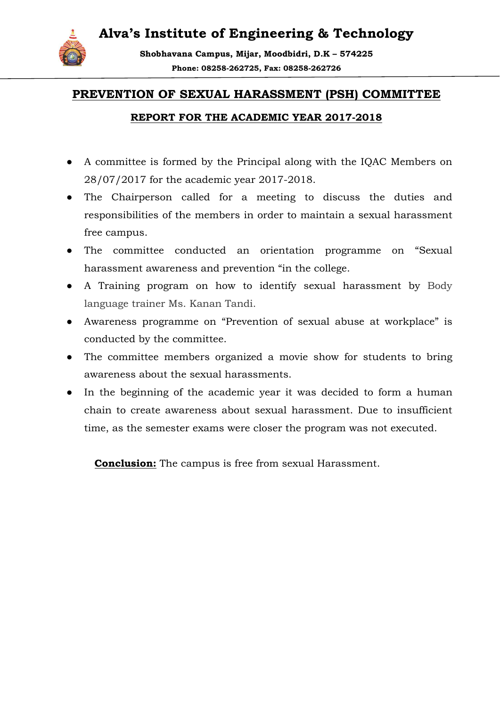

Shobhavana Campus, Mijar, Moodbidri, D.K – 574225 Phone: 08258 08258-262725, Fax: 08258-262726

#### PREVENTION OF SEXUAL HARASSMENT (PSH) COMMITTEE

#### REPORT FOR THE ACADEMIC YEAR 2017 2017-2018

- A committee is formed by the Principal along with the IQAC Members on A committee is formed by the Principal along v<br>28/07/2017 for the academic year 2017-2018.
- The Chairperson called for a meeting to discuss the duties and responsibilities of the members in order to maintain a sexual harassment free campus.
- The committee conducted an orientation programme on "Sexual harassment awareness and prevention "in the college.
- A Training program on how to identify sexual harassment by Body language trainer Ms. Kanan Tandi.
- Awareness programme on "Prevention of sexual abuse at workplace" is conducted by the committee.
- The committee members organized a movie show for students to bring awareness about the sexual harassments.
- In the beginning of the academic year it was decided to form a human chain to create awareness about sexual harassment. Due to insufficient time, as the semester exams were closer the program was not executed. **REPORT FOR THE ACADEMIC YEAR 2017-2018**<br>committee is formed by the Principal along with the IQAC Members on<br>07/2017 for the academic year 2017-2018.<br>Exhieperson called for a meeting to discuss the duties and<br>ponsibilities

**Conclusion:** The campus is free from sexual Harassment.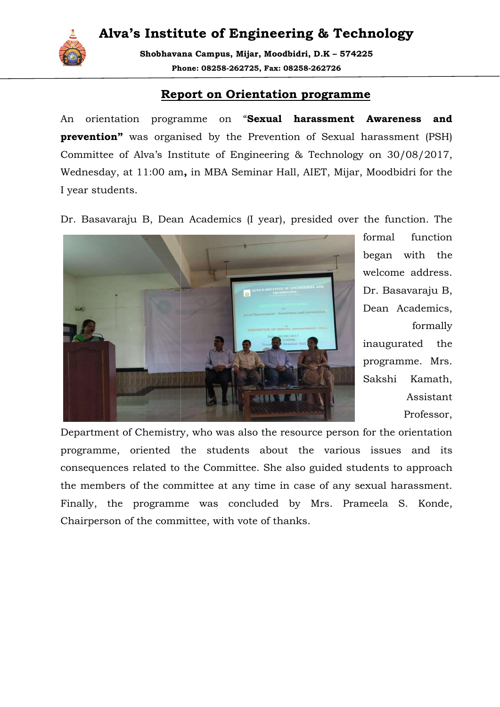

Shobhavana Campus, Mijar, Moodbidri, D.K – 574225 Phone: 08258 08258-262725, Fax: 08258-262726

#### Report on Orientation programme

An orientation programme on "Sexual harassment Awareness and prevention" was organised by the Prevention of Sexual harassment (PSH) Committee of Alva's Institute of Engineering & Technology on 30/08/2017, Wednesday, at 11:00 am 11:00 am, in MBA Seminar Hall, AIET, Mijar, Moodbidri for the I year students.

Dr. Basavaraju B, Dean Academics (I year), presided over the function. The



formal function began with the welcome address. Dr. Basavaraju B, Dean Academics, formally inaugurated the programme. Mrs. Sakshi Kamath, Assistant Professor,

Department of Chemistry, who was also the resource person for the orientation programme, oriented the students about the various issues and its consequences related to the Committee. She also guided students to approach the members of the committee at any time in case of any sexual harassment. Finally, the programme was concluded by Mrs. Prameela S. Konde, Chairperson of the committee, with vote of thanks.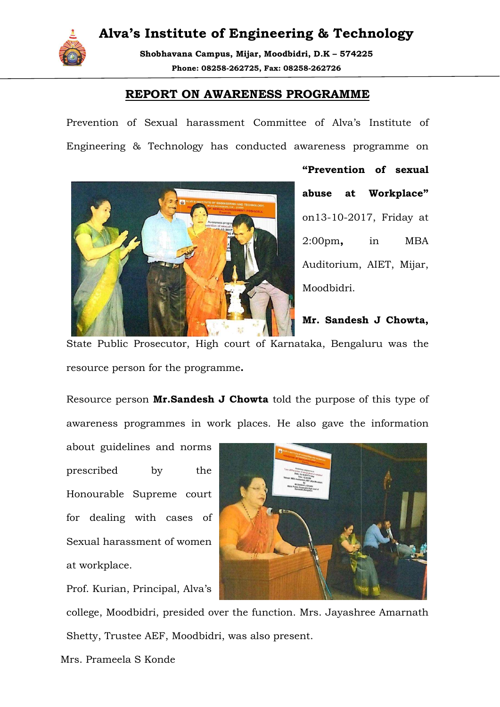

Shobhavana Campus, Mijar, Moodbidri, D.K – 574225 Phone: 08258 08258-262725, Fax: 08258-262726

#### REPORT ON AWARENESS PROGRAMME

Prevention of Sexual harassment Committee of Alva's Institute of Prevention of Sexual harassment Committee of Alva's Institute of<br>Engineering & Technology has conducted awareness programme on



"Prevention of sexual abuse at Workplace" on13-10-2017, Friday at<br>2:00pm**,** in MBA 2:00pm, Auditorium, AIET, Mijar, Moodbidri.

Mr. Sandesh J Chowta,

State Public Prosecutor, High court of Karnataka, Bengaluru was the resource person for the programme .

Resource person Mr. Sandesh J Chowta told the purpose of this type of awareness programmes in work places. He also gave the information

about guidelines and norms prescribed by the Honourable Supreme court for dealing with cases of for dealing with cases of<br>Sexual harassment of women at workplace.

Prof. Kurian, Principal, Alva's



college, Moodbidri, presided over the function. Mrs. Jayashree Amarnath Shetty, Trustee AEF, Moodbidri, was also present.

Mrs. Prameela S Konde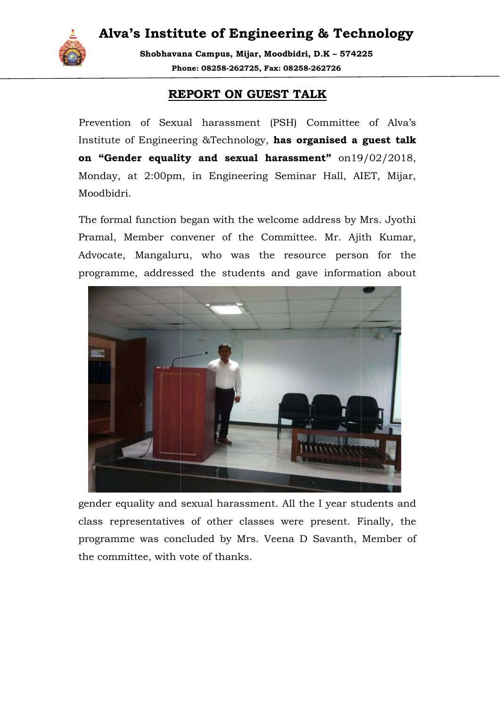

Shobhavana Campus, Mijar, Moodbidri, D.K – 574225 Phone: 08258 08258-262725, Fax: 08258-262726

#### REPORT ON GUEST TALK

Prevention of Sexual harassment (PSH) Committee of Alva's Institute of Engineering &Technology, has organised a guest ta on "Gender equality and sexual harassment"  $on19/02/2018$ , Monday, at 2:00pm, in Engineering Seminar Hall, AIET, Mijar, Moodbidri. 19/02/2018,<br>AIET, Mijar,<br>y Mrs. Jyothi<br>Ajith Kumar,

The formal function began with the welcome address by Mrs. Jyothi Pramal, Member convener of the Committee. Mr. Ajith Kumar Advocate, Mangaluru, who was the resource person for the the programme, addressed the students and gave information about



gender equality and sexual harassment. All the I year students and class representatives of other classes were present. Finally, the programme was concluded by Mrs. Veena D Savanth, Member of the committee, with vote of thanks.